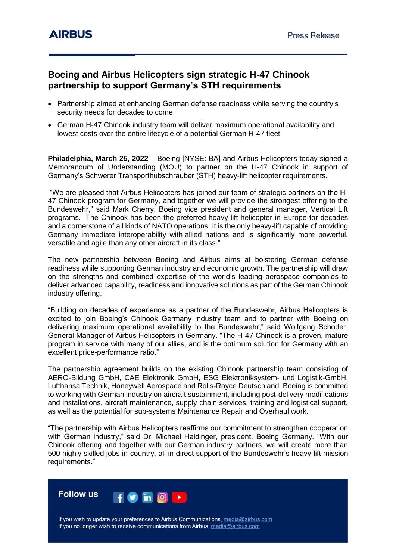## **Boeing and Airbus Helicopters sign strategic H-47 Chinook partnership to support Germany's STH requirements**

- Partnership aimed at enhancing German defense readiness while serving the country's security needs for decades to come
- German H-47 Chinook industry team will deliver maximum operational availability and lowest costs over the entire lifecycle of a potential German H-47 fleet

**Philadelphia, March 25, 2022** – Boeing [NYSE: BA] and Airbus Helicopters today signed a Memorandum of Understanding (MOU) to partner on the H-47 Chinook in support of Germany's Schwerer Transporthubschrauber (STH) heavy-lift helicopter requirements.

"We are pleased that Airbus Helicopters has joined our team of strategic partners on the H-47 Chinook program for Germany, and together we will provide the strongest offering to the Bundeswehr," said Mark Cherry, Boeing vice president and general manager, Vertical Lift programs. "The Chinook has been the preferred heavy-lift helicopter in Europe for decades and a cornerstone of all kinds of NATO operations. It is the only heavy-lift capable of providing Germany immediate interoperability with allied nations and is significantly more powerful, versatile and agile than any other aircraft in its class."

The new partnership between Boeing and Airbus aims at bolstering German defense readiness while supporting German industry and economic growth. The partnership will draw on the strengths and combined expertise of the world's leading aerospace companies to deliver advanced capability, readiness and innovative solutions as part of the German Chinook industry offering.

"Building on decades of experience as a partner of the Bundeswehr, Airbus Helicopters is excited to join Boeing's Chinook Germany industry team and to partner with Boeing on delivering maximum operational availability to the Bundeswehr," said Wolfgang Schoder, General Manager of Airbus Helicopters in Germany. "The H-47 Chinook is a proven, mature program in service with many of our allies, and is the optimum solution for Germany with an excellent price-performance ratio."

The partnership agreement builds on the existing Chinook partnership team consisting of AERO-Bildung GmbH, CAE Elektronik GmbH, ESG Elektroniksystem- und Logistik-GmbH, Lufthansa Technik, Honeywell Aerospace and Rolls-Royce Deutschland. Boeing is committed to working with German industry on aircraft sustainment, including post-delivery modifications and installations, aircraft maintenance, supply chain services, training and logistical support, as well as the potential for sub-systems Maintenance Repair and Overhaul work.

"The partnership with Airbus Helicopters reaffirms our commitment to strengthen cooperation with German industry," said Dr. Michael Haidinger, president, Boeing Germany. "With our Chinook offering and together with our German industry partners, we will create more than 500 highly skilled jobs in-country, all in direct support of the Bundeswehr's heavy-lift mission requirements."



If you wish to update your preferences to Airbus Communications, media@airbus.com If you no longer wish to receive communications from Airbus, media@airbus.com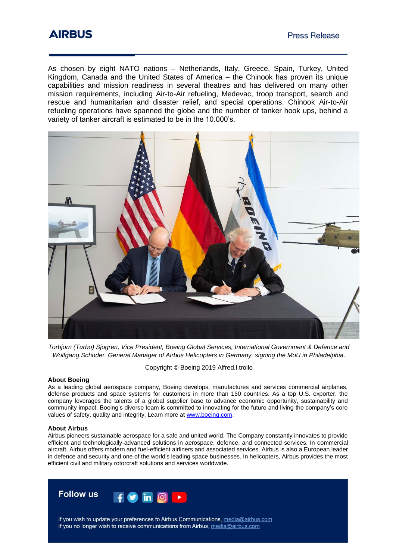As chosen by eight NATO nations – Netherlands, Italy, Greece, Spain, Turkey, United Kingdom, Canada and the United States of America – the Chinook has proven its unique capabilities and mission readiness in several theatres and has delivered on many other mission requirements, including Air-to-Air refueling, Medevac, troop transport, search and rescue and humanitarian and disaster relief, and special operations. Chinook Air-to-Air refueling operations have spanned the globe and the number of tanker hook ups, behind a variety of tanker aircraft is estimated to be in the 10.000's.



*Torbjorn (Turbo) Sjogren, Vice President, Boeing Global Services, International Government & Defence and Wolfgang Schoder, General Manager of Airbus Helicopters in Germany, signing the MoU in Philadelphia.*

Copyright © Boeing 2019 Alfred.l.troilo

#### **About Boeing**

As a leading global aerospace company, Boeing develops, manufactures and services commercial airplanes, defense products and space systems for customers in more than 150 countries. As a top U.S. exporter, the company leverages the talents of a global supplier base to advance economic opportunity, sustainability and community impact. Boeing's diverse team is committed to innovating for the future and living the company's core values of safety, quality and integrity. Learn more a[t www.boeing.com.](http://www.boeing.com/)

#### **About Airbus**

Airbus pioneers sustainable aerospace for a safe and united world. The Company constantly innovates to provide efficient and technologically-advanced solutions in aerospace, defence, and connected services. In commercial aircraft, Airbus offers modern and fuel-efficient airliners and associated services. Airbus is also a European leader in defence and security and one of the world's leading space businesses. In helicopters, Airbus provides the most efficient civil and military rotorcraft solutions and services worldwide.